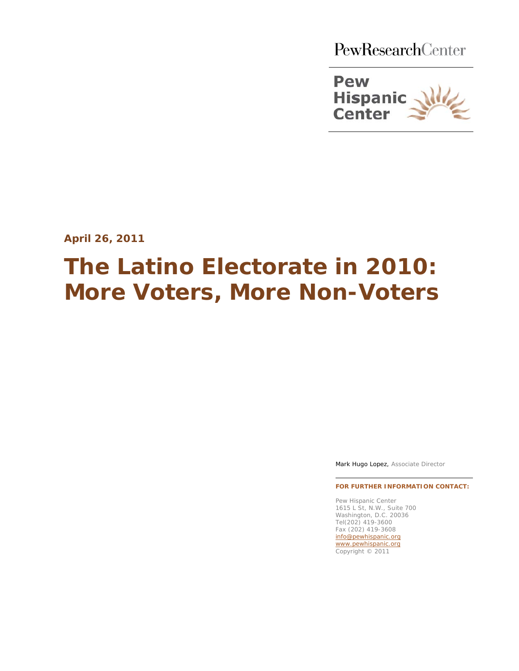PewResearchCenter



**April 26, 2011**

# **The Latino Electorate in 2010: More Voters, More Non-Voters**

Mark Hugo Lopez, Associate Director

**FOR FURTHER INFORMATION CONTACT:**

Pew Hispanic Center 1615 L St, N.W., Suite 700 Washington, D.C. 20036 Tel(202) 419-3600 Fax (202) 419-3608 [info@pewhispanic.org](mailto:info@pewhispanic.org) [www.pewhispanic.org](http://www.pewhispanic.org/) Copyright © 2011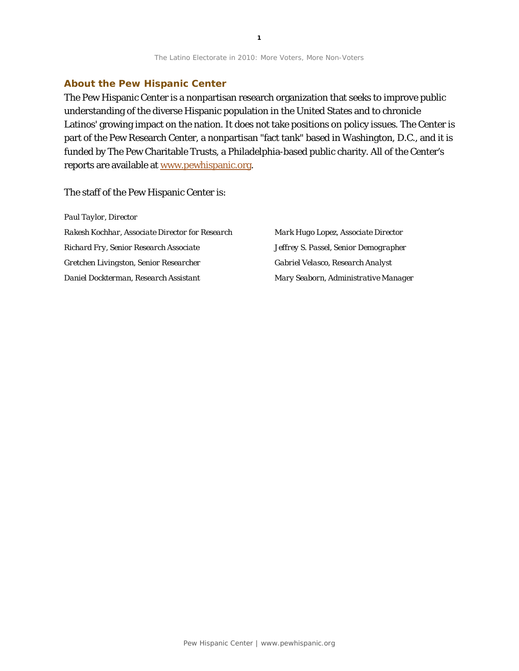#### **About the Pew Hispanic Center**

The Pew Hispanic Center is a nonpartisan research organization that seeks to improve public understanding of the diverse Hispanic population in the United States and to chronicle Latinos' growing impact on the nation. It does not take positions on policy issues. The Center is part of the Pew Research Center, a nonpartisan "fact tank" based in Washington, D.C., and it is funded by The Pew Charitable Trusts, a Philadelphia-based public charity. All of the Center's reports are available at www.pewhispanic.org.

#### The staff of the Pew Hispanic Center is:

| Paul Taylor, Director                           |                                       |
|-------------------------------------------------|---------------------------------------|
| Rakesh Kochhar, Associate Director for Research | Mark Hugo Lopez, Associate Director   |
| Richard Fry, Senior Research Associate          | Jeffrey S. Passel, Senior Demographer |
| Gretchen Livingston, Senior Researcher          | Gabriel Velasco, Research Analyst     |
| Daniel Dockterman, Research Assistant           | Mary Seaborn, Administrative Manager  |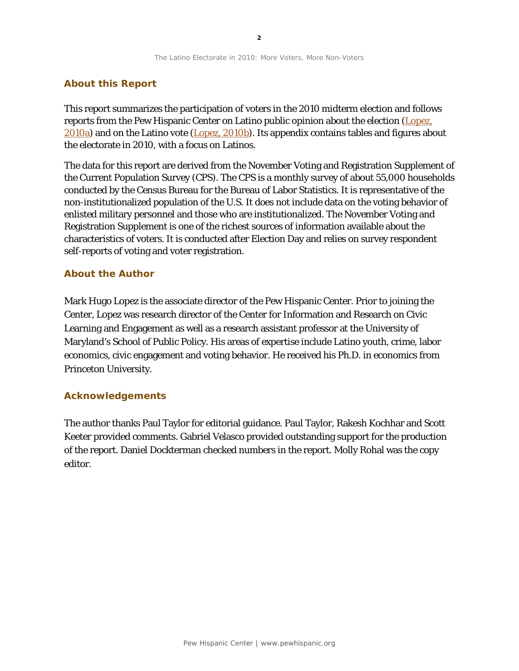#### **About this Report**

This report summarizes the participation of voters in the 2010 midterm election and follows reports from the Pew Hispanic Center on Latino public opinion about the election (Lopez, [2010a\)](http://pewhispanic.org/reports/report.php?ReportID=127) and on the Latino vote [\(Lopez, 2010b\)](http://pewhispanic.org/reports/report.php?ReportID=130). Its appendix contains tables and figures about the electorate in 2010, with a focus on Latinos.

The data for this report are derived from the November Voting and Registration Supplement of the Current Population Survey (CPS). The CPS is a monthly survey of about 55,000 households conducted by the Census Bureau for the Bureau of Labor Statistics. It is representative of the non-institutionalized population of the U.S. It does not include data on the voting behavior of enlisted military personnel and those who are institutionalized. The November Voting and Registration Supplement is one of the richest sources of information available about the characteristics of voters. It is conducted after Election Day and relies on survey respondent self-reports of voting and voter registration.

#### **About the Author**

Mark Hugo Lopez is the associate director of the Pew Hispanic Center. Prior to joining the Center, Lopez was research director of the Center for Information and Research on Civic Learning and Engagement as well as a research assistant professor at the University of Maryland's School of Public Policy. His areas of expertise include Latino youth, crime, labor economics, civic engagement and voting behavior. He received his Ph.D. in economics from Princeton University.

#### **Acknowledgements**

The author thanks Paul Taylor for editorial guidance. Paul Taylor, Rakesh Kochhar and Scott Keeter provided comments. Gabriel Velasco provided outstanding support for the production of the report. Daniel Dockterman checked numbers in the report. Molly Rohal was the copy editor.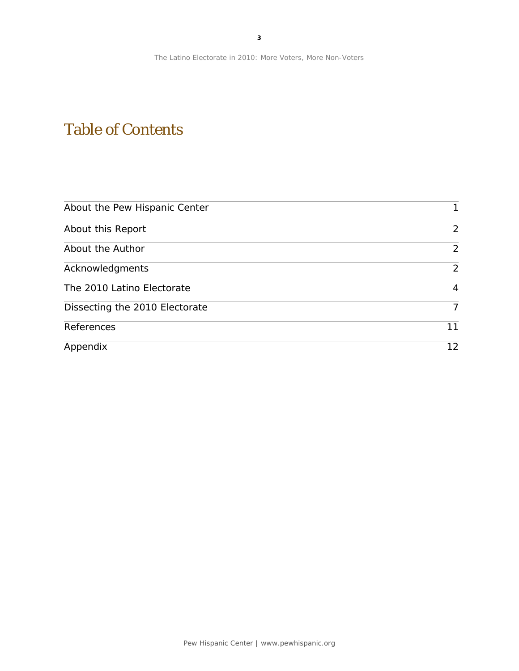## Table of Contents

| About the Pew Hispanic Center  | 1              |
|--------------------------------|----------------|
| About this Report              | 2              |
| About the Author               | $\overline{2}$ |
| Acknowledgments                | $\overline{2}$ |
| The 2010 Latino Electorate     | 4              |
| Dissecting the 2010 Electorate | 7              |
| References                     | 11             |
| Appendix                       | 12             |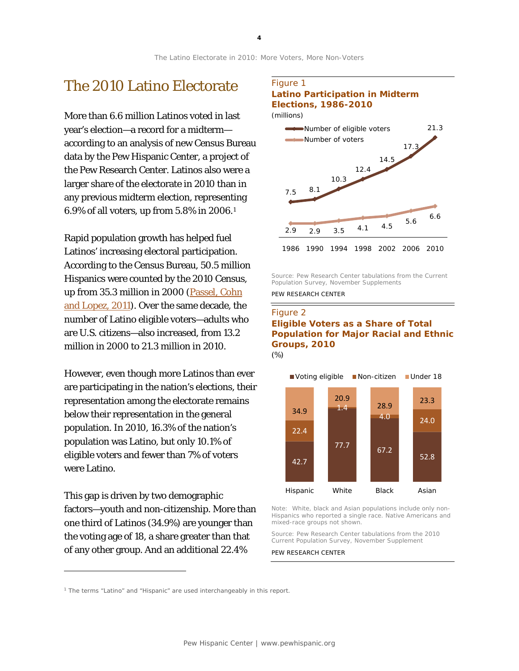### The 2010 Latino Electorate

More than 6.6 million Latinos voted in last year's election—a record for a midterm according to an analysis of new Census Bureau data by the Pew Hispanic Center, a project of the Pew Research Center. Latinos also were a larger share of the electorate in 2010 than in any previous midterm election, representing 6.9% of all voters, up from 5.8% in 2006.[1](#page-4-0)

Rapid population growth has helped fuel Latinos' increasing electoral participation. According to the Census Bureau, 50.5 million Hispanics were counted by the 2010 Census, up from 35.3 million in 2000 [\(Passel, Cohn](http://pewhispanic.org/reports/report.php?ReportID=140)  [and Lopez, 2011\)](http://pewhispanic.org/reports/report.php?ReportID=140). Over the same decade, the number of Latino eligible voters—adults who are U.S. citizens—also increased, from 13.2 million in 2000 to 21.3 million in 2010.

However, even though more Latinos than ever are participating in the nation's elections, their representation among the electorate remains below their representation in the general population. In 2010, 16.3% of the nation's population was Latino, but only 10.1% of eligible voters and fewer than 7% of voters were Latino.

This gap is driven by two demographic factors—youth and non-citizenship. More than one third of Latinos (34.9%) are younger than the voting age of 18, a share greater than that of any other group. And an additional 22.4%

l

#### Figure 1 **Latino Participation in Midterm Elections, 1986-2010**



Source: Pew Research Center tabulations from the Current Population Survey, November Supplements

PEW RESEARCH CENTER

#### Figure 2 **Eligible Voters as a Share of Total Population for Major Racial and Ethnic Groups, 2010** *(%)*



Note: White, black and Asian populations include only non-Hispanics who reported a single race. Native Americans and mixed-race groups not shown.

Source: Pew Research Center tabulations from the 2010 Current Population Survey, November Supplement

<span id="page-4-0"></span><sup>&</sup>lt;sup>1</sup> The terms "Latino" and "Hispanic" are used interchangeably in this report.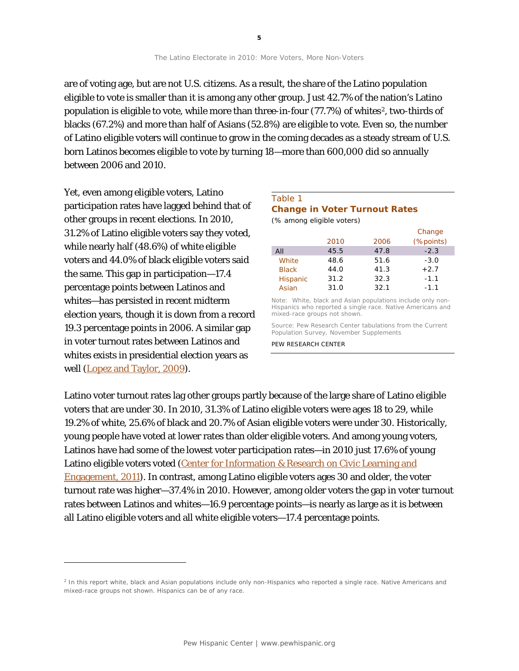Yet, even among eligible voters, Latino participation rates have lagged behind that of other groups in recent elections. In 2010, 31.2% of Latino eligible voters say they voted, while nearly half (48.6%) of white eligible voters and 44.0% of black eligible voters said the same. This gap in participation—17.4 percentage points between Latinos and whites—has persisted in recent midterm election years, though it is down from a record 19.3 percentage points in 2006. A similar gap in voter turnout rates between Latinos and whites exists in presidential election years as well [\(Lopez and Taylor, 2009\)](http://pewhispanic.org/reports/report.php?ReportID=108).

between 2006 and 2010.

1

#### Table 1 **Change in Voter Turnout Rates**  *(% among eligible voters)* Change

|                 |      |      | "         |
|-----------------|------|------|-----------|
|                 | 2010 | 2006 | (%points) |
| All             | 45.5 | 47.8 | $-2.3$    |
| White           | 48.6 | 51.6 | $-3.0$    |
| <b>Black</b>    | 44.0 | 41.3 | $+2.7$    |
| <b>Hispanic</b> | 31.2 | 32.3 | $-1.1$    |
| Asian           | 31.0 | 32.1 | $-1.1$    |
|                 |      |      |           |

Note: White, black and Asian populations include only non-Hispanics who reported a single race. Native Americans and mixed-race groups not shown.

Source: Pew Research Center tabulations from the Current Population Survey, November Supplements

PEW RESEARCH CENTER

Latino voter turnout rates lag other groups partly because of the large share of Latino eligible voters that are under 30. In 2010, 31.3% of Latino eligible voters were ages 18 to 29, while 19.2% of white, 25.6% of black and 20.7% of Asian eligible voters were under 30. Historically, young people have voted at lower rates than older eligible voters. And among young voters, Latinos have had some of the lowest voter participation rates—in 2010 just 17.6% of young Latino eligible voters voted (Center for Information & Research on Civic Learning and [Engagement, 2011\)](http://www.civicyouth.org/wp-content/uploads/2011/04/The-CPS-youth-vote-2010-FS.pdf?). In contrast, among Latino eligible voters ages 30 and older, the voter turnout rate was higher—37.4% in 2010. However, among older voters the gap in voter turnout rates between Latinos and whites—16.9 percentage points—is nearly as large as it is between all Latino eligible voters and all white eligible voters—17.4 percentage points.

The Latino Electorate in 2010: More Voters, More Non-Voters

are of voting age, but are not U.S. citizens. As a result, the share of the Latino population eligible to vote is smaller than it is among any other group. Just 42.7% of the nation's Latino population is eligible to vote, while more than three-in-four (77.7%) of whites<sup>2</sup>, two-thirds of blacks (67.2%) and more than half of Asians (52.8%) are eligible to vote. Even so, the number of Latino eligible voters will continue to grow in the coming decades as a steady stream of U.S.

<span id="page-5-0"></span><sup>&</sup>lt;sup>2</sup> In this report white, black and Asian populations include only non-Hispanics who reported a single race. Native Americans and mixed-race groups not shown. Hispanics can be of any race.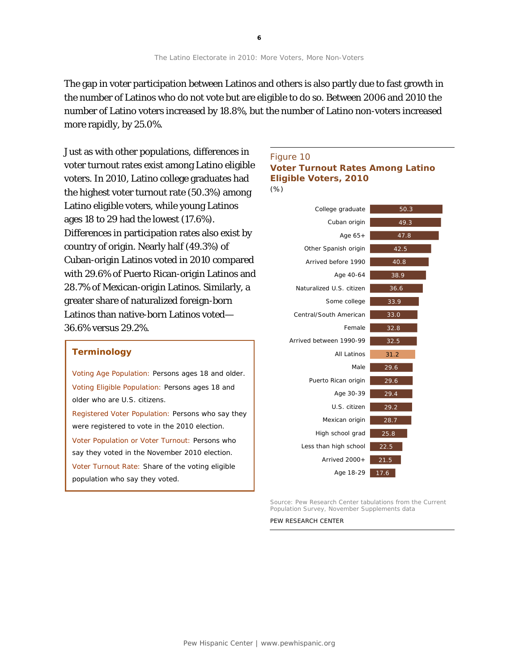The gap in voter participation between Latinos and others is also partly due to fast growth in the number of Latinos who do not vote but are eligible to do so. Between 2006 and 2010 the number of Latino voters increased by 18.8%, but the number of Latino non-voters increased more rapidly, by 25.0%.

Just as with other populations, differences in voter turnout rates exist among Latino eligible voters. In 2010, Latino college graduates had the highest voter turnout rate (50.3%) among Latino eligible voters, while young Latinos ages 18 to 29 had the lowest (17.6%). Differences in participation rates also exist by country of origin. Nearly half (49.3%) of Cuban-origin Latinos voted in 2010 compared with 29.6% of Puerto Rican-origin Latinos and 28.7% of Mexican-origin Latinos. Similarly, a greater share of naturalized foreign-born Latinos than native-born Latinos voted— 36.6% versus 29.2%.

#### **Terminology**

Voting Age Population: Persons ages 18 and older. Voting Eligible Population: Persons ages 18 and older who are U.S. citizens. Registered Voter Population: Persons who say they

were registered to vote in the 2010 election. Voter Population or Voter Turnout: Persons who say they voted in the November 2010 election. Voter Turnout Rate: Share of the voting eligible population who say they voted.

#### Figure 10

#### **Voter Turnout Rates Among Latino Eligible Voters, 2010**

*(%)*



Source: Pew Research Center tabulations from the Current Population Survey, November Supplements data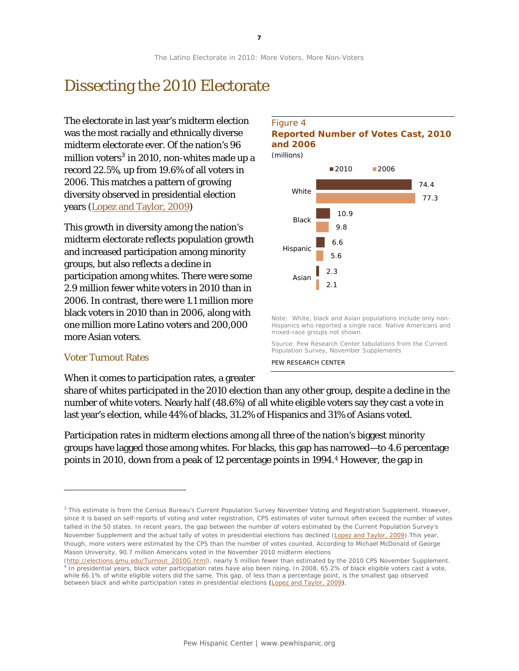## Dissecting the 2010 Electorate

The electorate in last year's midterm election was the most racially and ethnically diverse midterm electorate ever. Of the nation's 96 million voters $^3$  $^3$  in 2010, non-whites made up a years (<u>[Lopez and Taylor, 2009](http://pewhispanic.org/reports/report.php?ReportID=108)</u>) record 22.5%, up from 19.6% of all voters in 2006. This matches a pattern of growing diversity observed in presidential election

This growth in diversity among the nation's midterm electorate reflects population growth and increased participation among minority groups, but also reflects a decline in participation among whites. There were some 2.9 million fewer white voters in 2010 than in 2006. In contrast, there were 1.1 million more black voters in 2010 than in 2006, along with one million more Latino voters and 200,000 more Asian voters.

#### Voter Turnout Rates

1

When it comes to participation rates, a greater

#### Figure 4 **Reported Number of Votes Cast, 2010 and 2006**

*(millions)*



Note: White, black and Asian populations include only non-Hispanics who reported a single race. Native Americans and mixed-race groups not shown.

Source: Pew Research Center tabulations from the Current Population Survey, November Supplements

PEW RESEARCH CENTER

share of whites participated in the 2010 election than any other group, despite a decline in the number of white voters. Nearly half (48.6%) of all white eligible voters say they cast a vote in last year's election, while 44% of blacks, 31.2% of Hispanics and 31% of Asians voted.

Participation rates in midterm elections among all three of the nation's biggest minority groups have lagged those among whites. For blacks, this gap has narrowed—to 4.6 percentage points in 2010, down from a peak of 12 percentage points in 1994.[4](#page-7-1) However, the gap in

<span id="page-7-0"></span><sup>&</sup>lt;sup>3</sup> This estimate is from the Census Bureau's Current Population Survey November Voting and Registration Supplement. However, since it is based on self-reports of voting and voter registration, CPS estimates of voter turnout often exceed the number of votes tallied in the 50 states. In recent years, the gap between the number of voters estimated by the Current Population Survey's November Supplement and the actual tally of votes in presidential elections has declined ([Lopez and Taylor, 2009\)](http://pewhispanic.org/reports/report.php?ReportID=108). This year, though, more voters were estimated by the CPS than the number of votes counted. According to Michael McDonald of George Mason University, 90.7 million Americans voted in the November 2010 midterm elections

<span id="page-7-1"></span>[<sup>\(</sup>http://elections.gmu.edu/Turnout\\_2010G.html\)](http://elections.gmu.edu/Turnout_2010G.html), nearly 5 million fewer than estimated by the 2010 CPS November Supplement. In presidential years, black voter participation rates have also been rising. In 2008, 65.2% of black eligible voters cast a vote, while 66.1% of white eligible voters did the same. This gap, of less than a percentage point, is the smallest gap observed between black and white participation rates in presidential elections [\(Lopez and Taylor, 2009\)](http://pewhispanic.org/reports/report.php?ReportID=108).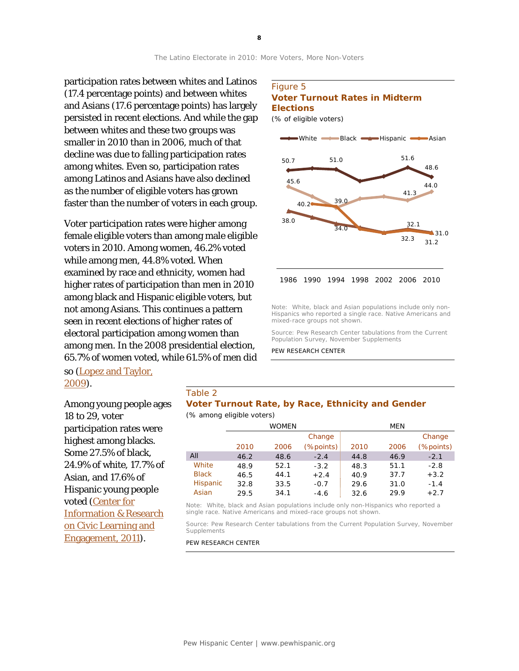participation rates between whites and Latinos (17.4 percentage points) and between whites and Asians (17.6 percentage points) has largely persisted in recent elections. And while the gap between whites and these two groups was smaller in 2010 than in 2006, much of that decline was due to falling participation rates among whites. Even so, participation rates among Latinos and Asians have also declined as the number of eligible voters has grown faster than the number of voters in each group.

Voter participation rates were higher among female eligible voters than among male eligible voters in 2010. Among women, 46.2% voted while among men, 44.8% voted. When examined by race and ethnicity, women had higher rates of participation than men in 2010 among black and Hispanic eligible voters, but not among Asians. This continues a pattern seen in recent elections of higher rates of electoral participation among women than among men. In the 2008 presidential election, 65.7% of women voted, while 61.5% of men did

#### Figure 5 **Voter Turnout Rates in Midterm Elections**

*(% of eligible voters)*



Note: White, black and Asian populations include only non-Hispanics who reported a single race. Native Americans and mixed-race groups not shown.

Source: Pew Research Center tabulations from the Current Population Survey, November Supplements

PEW RESEARCH CENTER

#### so [\(Lopez and Taylor,](http://pewhispanic.org/reports/report.php?ReportID=108)  [2009\)](http://pewhispanic.org/reports/report.php?ReportID=108).

Among young people ages 18 to 29, voter participation rates were highest among blacks. Some 27.5% of black, 24.9% of white, 17.7% of Asian, and 17.6% of Hispanic young people voted [\(Center for](http://www.civicyouth.org/wp-content/uploads/2011/04/The-CPS-youth-vote-2010-FS.pdf?)  [Information & Research](http://www.civicyouth.org/wp-content/uploads/2011/04/The-CPS-youth-vote-2010-FS.pdf?)  [on Civic Learning and](http://www.civicyouth.org/wp-content/uploads/2011/04/The-CPS-youth-vote-2010-FS.pdf?)  [Engagement, 2011\)](http://www.civicyouth.org/wp-content/uploads/2011/04/The-CPS-youth-vote-2010-FS.pdf?).

#### Table 2

#### **Voter Turnout Rate, by Race, Ethnicity and Gender** *(% among eligible voters)*

|              |      | <b>WOMEN</b> |               |      | <b>MEN</b> |           |
|--------------|------|--------------|---------------|------|------------|-----------|
|              |      |              | Change        |      |            | Change    |
|              | 2010 | 2006         | $(\%$ points) | 2010 | 2006       | (%points) |
| All          | 46.2 | 48.6         | $-2.4$        | 44.8 | 46.9       | $-2.1$    |
| White        | 48.9 | 52.1         | $-3.2$        | 48.3 | 51.1       | $-2.8$    |
| <b>Black</b> | 46.5 | 44.1         | $+2.4$        | 40.9 | 37.7       | $+3.2$    |
| Hispanic     | 32.8 | 33.5         | $-0.7$        | 29.6 | 31.0       | $-1.4$    |
| Asian        | 29.5 | 34.1         | $-4.6$        | 32.6 | 29.9       | $+2.7$    |

Note: White, black and Asian populations include only non-Hispanics who reported a single race. Native Americans and mixed-race groups not shown.

Source: Pew Research Center tabulations from the Current Population Survey, November Supplements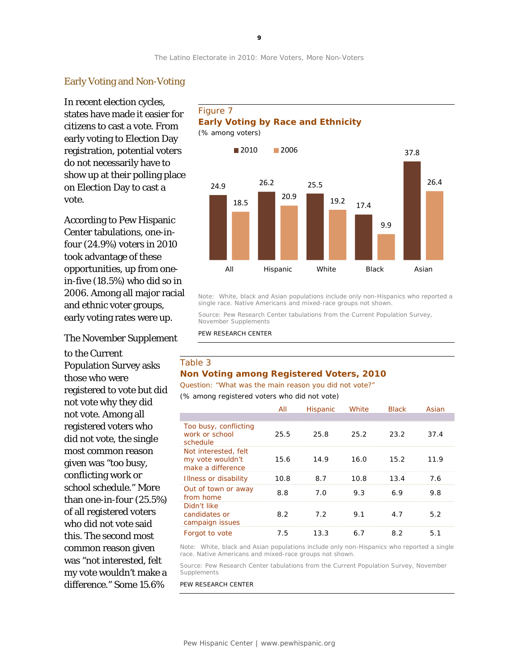#### Early Voting and Non-Voting

In recent election cycles, states have made it easier for citizens to cast a vote. From early voting to Election Day registration, potential voters do not necessarily have to show up at their polling place on Election Day to cast a vote.

According to Pew Hispanic Center tabulations, one-infour (24.9%) voters in 2010 took advantage of these opportunities, up from onein-five (18.5%) who did so in 2006. Among all major racial and ethnic voter groups, early voting rates were up.

The November Supplement

to the Current Population Survey asks those who were registered to vote but did not vote why they did not vote. Among all registered voters who did not vote, the single most common reason given was "too busy, conflicting work or school schedule." More than one-in-four (25.5%) of all registered voters who did not vote said this. The second most common reason given was "not interested, felt my vote wouldn't make a difference." Some 15.6%

#### Figure 7 **Early Voting by Race and Ethnicity** *(% among voters)*



Note: White, black and Asian populations include only non-Hispanics who reported a single race. Native Americans and mixed-race groups not shown.

Source: Pew Research Center tabulations from the Current Population Survey, November Supplements

PEW RESEARCH CENTER

#### Table 3 **Non Voting among Registered Voters, 2010**

*Question: "What was the main reason you did not vote?"* 

*(% among registered voters who did not vote)*

|                                                               | All  | <b>Hispanic</b> | White | <b>Black</b> | Asian |
|---------------------------------------------------------------|------|-----------------|-------|--------------|-------|
|                                                               |      |                 |       |              |       |
| Too busy, conflicting<br>work or school<br>schedule           | 25.5 | 25.8            | 25.2  | 23.2         | 37.4  |
| Not interested, felt<br>my vote wouldn't<br>make a difference | 15.6 | 14.9            | 16.0  | 15.2         | 11.9  |
| Illness or disability                                         | 10.8 | 8.7             | 10.8  | 13.4         | 7.6   |
| Out of town or away<br>from home                              | 8.8  | 7.0             | 9.3   | 6.9          | 9.8   |
| Didn't like<br>candidates or<br>campaign issues               | 8.2  | 7.2             | 9.1   | 4.7          | 5.2   |
| Forgot to vote                                                | 7.5  | 13.3            | 6.7   | 8.2          | 5.1   |

Note: White, black and Asian populations include only non-Hispanics who reported a single race. Native Americans and mixed-race groups not shown.

Source: Pew Research Center tabulations from the Current Population Survey, November Supplements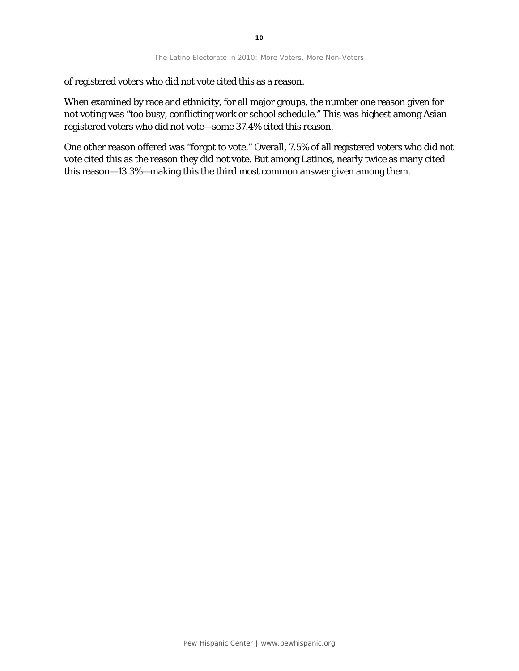of registered voters who did not vote cited this as a reason.

When examined by race and ethnicity, for all major groups, the number one reason given for not voting was "too busy, conflicting work or school schedule." This was highest among Asian registered voters who did not vote—some 37.4% cited this reason.

One other reason offered was "forgot to vote." Overall, 7.5% of all registered voters who did not vote cited this as the reason they did not vote. But among Latinos, nearly twice as many cited this reason—13.3%—making this the third most common answer given among them.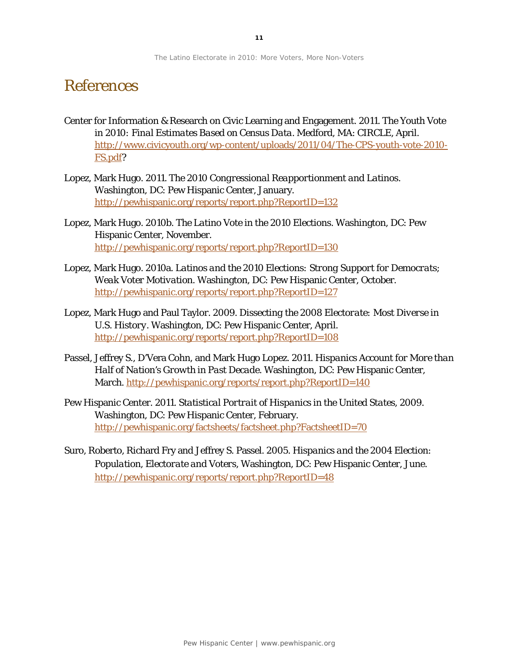## References

- Center for Information & Research on Civic Learning and Engagement. 2011. *The Youth Vote in 2010: Final Estimates Based on Census Data*. Medford, MA: CIRCLE, April. [http://www.civicyouth.org/wp-content/uploads/2011/04/The-CPS-youth-vote-2010-](http://www.civicyouth.org/wp-content/uploads/2011/04/The-CPS-youth-vote-2010-FS.pdf) [FS.pdf?](http://www.civicyouth.org/wp-content/uploads/2011/04/The-CPS-youth-vote-2010-FS.pdf)
- Lopez, Mark Hugo. 2011. *The 2010 Congressional Reapportionment and Latinos*. Washington, DC: Pew Hispanic Center, January. <http://pewhispanic.org/reports/report.php?ReportID=132>
- Lopez, Mark Hugo. 2010b. *The Latino Vote in the 2010 Elections*. Washington, DC: Pew Hispanic Center, November. <http://pewhispanic.org/reports/report.php?ReportID=130>
- Lopez, Mark Hugo. 2010a. *Latinos and the 2010 Elections: Strong Support for Democrats; Weak Voter Motivation*. Washington, DC: Pew Hispanic Center, October. <http://pewhispanic.org/reports/report.php?ReportID=127>
- Lopez, Mark Hugo and Paul Taylor. 2009. *Dissecting the 2008 Electorate: Most Diverse in U.S. History*. Washington, DC: Pew Hispanic Center, April. <http://pewhispanic.org/reports/report.php?ReportID=108>
- Passel, Jeffrey S., D'Vera Cohn, and Mark Hugo Lopez. 2011. *Hispanics Account for More than Half of Nation's Growth in Past Decade*. Washington, DC: Pew Hispanic Center, March.<http://pewhispanic.org/reports/report.php?ReportID=140>
- Pew Hispanic Center. 2011. *Statistical Portrait of Hispanics in the United States, 2009*. Washington, DC: Pew Hispanic Center, February. <http://pewhispanic.org/factsheets/factsheet.php?FactsheetID=70>
- Suro, Roberto, Richard Fry and Jeffrey S. Passel. 2005. *Hispanics and the 2004 Election: Population, Electorate and Voters*, Washington, DC: Pew Hispanic Center, June. <http://pewhispanic.org/reports/report.php?ReportID=48>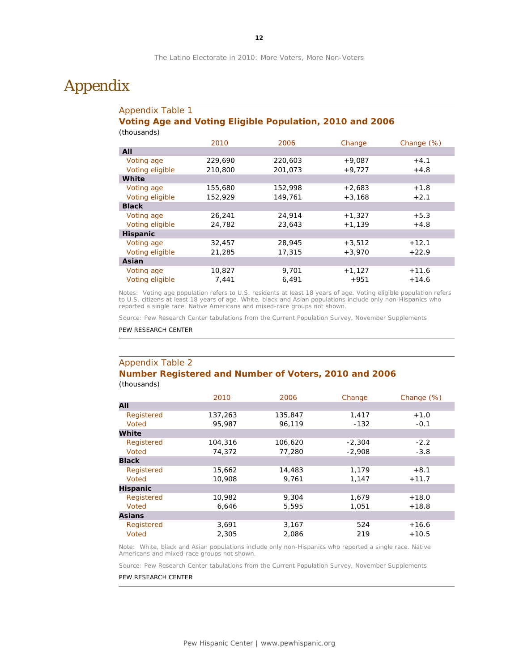## Appendix

#### Appendix Table 1 **Voting Age and Voting Eligible Population, 2010 and 2006** *(thousands)*

|                 | 2010    | 2006    | Change   | Change (%) |
|-----------------|---------|---------|----------|------------|
| All             |         |         |          |            |
| Voting age      | 229,690 | 220,603 | $+9,087$ | $+4.1$     |
| Voting eligible | 210,800 | 201,073 | $+9,727$ | $+4.8$     |
| White           |         |         |          |            |
| Voting age      | 155,680 | 152,998 | $+2,683$ | $+1.8$     |
| Voting eligible | 152,929 | 149,761 | $+3,168$ | $+2.1$     |
| <b>Black</b>    |         |         |          |            |
| Voting age      | 26,241  | 24,914  | $+1,327$ | $+5.3$     |
| Voting eligible | 24,782  | 23,643  | $+1,139$ | $+4.8$     |
| <b>Hispanic</b> |         |         |          |            |
| Voting age      | 32,457  | 28,945  | $+3,512$ | $+12.1$    |
| Voting eligible | 21,285  | 17,315  | $+3.970$ | $+22.9$    |
| Asian           |         |         |          |            |
| Voting age      | 10,827  | 9,701   | $+1,127$ | $+11.6$    |
| Voting eligible | 7,441   | 6,491   | $+951$   | $+14.6$    |

Notes: Voting age population refers to U.S. residents at least 18 years of age. Voting eligible population refers to U.S. citizens at least 18 years of age. White, black and Asian populations include only non-Hispanics who reported a single race. Native Americans and mixed-race groups not shown.

Source: Pew Research Center tabulations from the Current Population Survey, November Supplements

PEW RESEARCH CENTER

#### Appendix Table 2 **Number Registered and Number of Voters, 2010 and 2006**

*(thousands)*

|                 | 2010    | 2006    | Change   | Change (%) |
|-----------------|---------|---------|----------|------------|
| All             |         |         |          |            |
| Registered      | 137,263 | 135,847 | 1,417    | $+1.0$     |
| Voted           | 95,987  | 96,119  | $-132$   | $-0.1$     |
| White           |         |         |          |            |
| Registered      | 104,316 | 106,620 | $-2,304$ | $-2.2$     |
| Voted           | 74,372  | 77,280  | $-2,908$ | $-3.8$     |
| <b>Black</b>    |         |         |          |            |
| Registered      | 15,662  | 14,483  | 1,179    | $+8.1$     |
| Voted           | 10,908  | 9,761   | 1,147    | $+11.7$    |
| <b>Hispanic</b> |         |         |          |            |
| Registered      | 10,982  | 9,304   | 1,679    | $+18.0$    |
| Voted           | 6,646   | 5,595   | 1,051    | $+18.8$    |
| <b>Asians</b>   |         |         |          |            |
| Registered      | 3,691   | 3,167   | 524      | $+16.6$    |
| Voted           | 2,305   | 2,086   | 219      | $+10.5$    |

Note: White, black and Asian populations include only non-Hispanics who reported a single race. Native Americans and mixed-race groups not shown.

Source: Pew Research Center tabulations from the Current Population Survey, November Supplements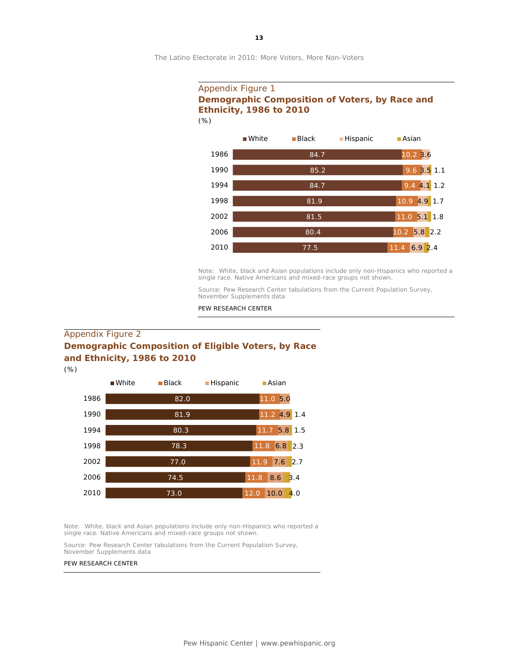#### Appendix Figure 1 **Demographic Composition of Voters, by Race and Ethnicity, 1986 to 2010** *(%)*



Note: White, black and Asian populations include only non-Hispanics who reported a single race. Native Americans and mixed-race groups not shown.

Source: Pew Research Center tabulations from the Current Population Survey, November Supplements data

PEW RESEARCH CENTER

#### Appendix Figure 2 **Demographic Composition of Eligible Voters, by Race and Ethnicity, 1986 to 2010**

*(%)*



Note: White, black and Asian populations include only non-Hispanics who reported a single race. Native Americans and mixed-race groups not shown.

Source: Pew Research Center tabulations from the Current Population Survey, November Supplements data

#### PEW RESEARCH CENTER

**13**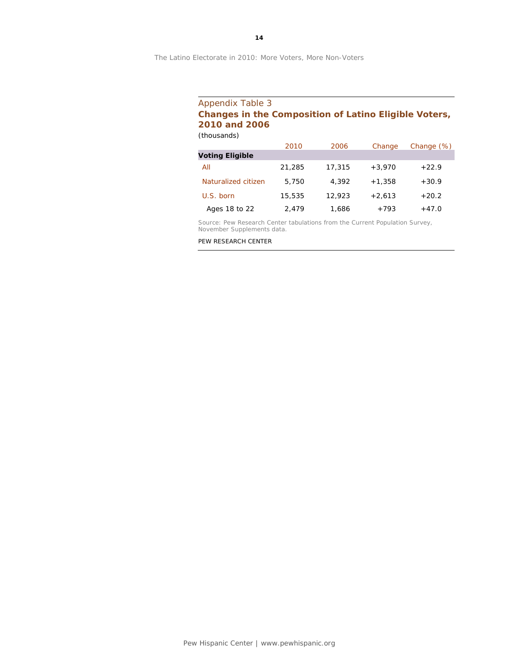#### Appendix Table 3 **Changes in the Composition of Latino Eligible Voters, 2010 and 2006** *(thousands)*

2010 2006 Change Change (%) **Voting Eligible** All 21,285 17,315 +3,970 +22.9 Naturalized citizen 5,750 4,392 +1,358 +30.9 U.S. born 15,535 12,923 +2,613 +20.2 Ages 18 to 22  $2,479$   $1,686$   $+793$   $+47.0$ 

Source: Pew Research Center tabulations from the Current Population Survey, November Supplements data.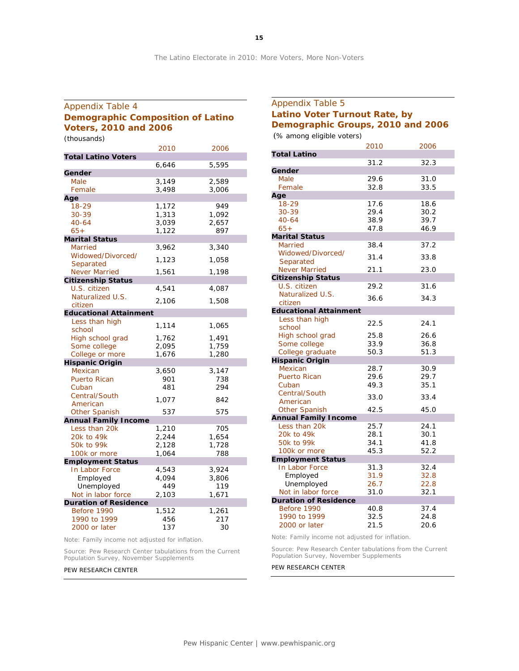#### Appendix Table 4 **Demographic Composition of Latino Voters, 2010 and 2006** *(thousands)*

2010 2006 **Total Latino Voters** 6,646 5,595 **Gender** Male 3,149 2,589 Female 3,498 3,006 **Age** 18-29 1,172 949 30-39 1,313 1,092 40-64 3,039 2,657 65+ 1,122 897 **Marital Status** Married 3,962 3,340 Widowed/Divorced/ Separated 1,123 1,058 Never Married 1,561 1,198 **Citizenship Status** U.S. citizen 4,541 4,087 Naturalized U.S. vateranzed 6.5. 2,106 1,508 **Educational Attainment** Less than high school 1,114 1,065 High school grad 1,762 1,491 Some college 2,095 1,759 College or more 1,676 1,280 **Hispanic Origin** Mexican 3,650 3,147 Puerto Rican 901 738 Cuban 481 294 Central/South Elentral 2001<br>
American 1,077 842<br>
Other Spanish 537 575 Other Spanish **Annual Family Income** Less than 20k 1,210 705 20k to 49k 2,244 1,654 50k to 99k 2,128 1,728 100k or more 1,064 788 **Employment Status** In Labor Force 4,543 3,924 Employed 4,094 3,806 Unemployed 449 119 Not in labor force 2,103 1,671 **Duration of Residence** Before 1990 1,512 1,261 1990 to 1999 456 217 2000 or later 137 30

Note: Family income not adjusted for inflation.

Source: Pew Research Center tabulations from the Current Population Survey, November Supplements

#### PEW RESEARCH CENTER

| Appendix Table 5                  |
|-----------------------------------|
| Latino Voter Turnout Rate, by     |
| Demographic Groups, 2010 and 2006 |

*(% among eligible voters)*

|                                          | 2010 | 2006 |
|------------------------------------------|------|------|
| <b>Total Latino</b>                      |      |      |
|                                          | 31.2 | 32.3 |
| Gender                                   |      |      |
| Male                                     | 29.6 | 31.0 |
| Female                                   | 32.8 | 33.5 |
| Age                                      |      |      |
| 18-29                                    | 17.6 | 18.6 |
| 30-39                                    | 29.4 | 30.2 |
| $40 - 64$                                | 38.9 | 39.7 |
| $65+$                                    | 47.8 | 46.9 |
| <b>Marital Status</b>                    |      |      |
| <b>Married</b>                           | 38.4 | 37.2 |
| Widowed/Divorced/                        | 31.4 | 33.8 |
| Separated                                |      |      |
| <b>Never Married</b>                     | 21.1 | 23.0 |
| <b>Citizenship Status</b>                |      |      |
| U.S. citizen                             | 29.2 | 31.6 |
| Naturalized U.S.                         | 36.6 | 34.3 |
| citizen<br><b>Educational Attainment</b> |      |      |
| Less than high                           |      |      |
| school                                   | 22.5 | 24.1 |
| High school grad                         | 25.8 | 26.6 |
| Some college                             | 33.9 | 36.8 |
| College graduate                         | 50.3 | 51.3 |
| <b>Hispanic Origin</b>                   |      |      |
| Mexican                                  | 28.7 | 30.9 |
| <b>Puerto Rican</b>                      | 29.6 | 29.7 |
| Cuban                                    | 49.3 | 35.1 |
| Central/South                            |      |      |
| American                                 | 33.0 | 33.4 |
| <b>Other Spanish</b>                     | 42.5 | 45.0 |
| <b>Annual Family Income</b>              |      |      |
| Less than 20k                            | 25.7 | 24.1 |
| 20k to 49k                               | 28.1 | 30.1 |
| 50k to 99k                               | 34.1 | 41.8 |
| 100k or more                             | 45.3 | 52.2 |
| <b>Employment Status</b>                 |      |      |
| In Labor Force                           | 31.3 | 32.4 |
| Employed                                 | 31.9 | 32.8 |
| Unemployed                               | 26.7 | 22.8 |
| Not in labor force                       | 31.0 | 32.1 |
| <b>Duration of Residence</b>             |      |      |
| Before 1990                              | 40.8 | 37.4 |
| 1990 to 1999                             | 32.5 | 24.8 |
| 2000 or later                            | 21.5 | 20.6 |

Note: Family income not adjusted for inflation.

Source: Pew Research Center tabulations from the Current Population Survey, November Supplements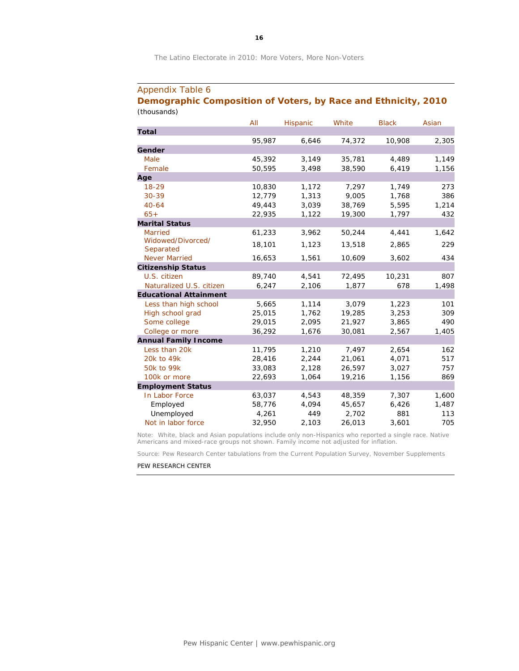#### Appendix Table 6

#### **Demographic Composition of Voters, by Race and Ethnicity, 2010** *(thousands)*

|                               | All    | Hispanic | White  | <b>Black</b> | Asian |
|-------------------------------|--------|----------|--------|--------------|-------|
| <b>Total</b>                  |        |          |        |              |       |
|                               | 95,987 | 6,646    | 74,372 | 10,908       | 2,305 |
| Gender                        |        |          |        |              |       |
| Male                          | 45,392 | 3,149    | 35,781 | 4,489        | 1,149 |
| Female                        | 50,595 | 3,498    | 38,590 | 6,419        | 1,156 |
| Age                           |        |          |        |              |       |
| 18-29                         | 10,830 | 1,172    | 7,297  | 1,749        | 273   |
| $30 - 39$                     | 12,779 | 1,313    | 9,005  | 1,768        | 386   |
| $40 - 64$                     | 49,443 | 3,039    | 38,769 | 5,595        | 1,214 |
| $65+$                         | 22,935 | 1,122    | 19,300 | 1,797        | 432   |
| <b>Marital Status</b>         |        |          |        |              |       |
| <b>Married</b>                | 61,233 | 3,962    | 50,244 | 4,441        | 1,642 |
| Widowed/Divorced/             | 18,101 | 1,123    | 13,518 | 2,865        | 229   |
| Separated                     |        |          |        |              |       |
| <b>Never Married</b>          | 16,653 | 1,561    | 10,609 | 3,602        | 434   |
| <b>Citizenship Status</b>     |        |          |        |              |       |
| U.S. citizen                  | 89,740 | 4,541    | 72,495 | 10,231       | 807   |
| Naturalized U.S. citizen      | 6,247  | 2,106    | 1,877  | 678          | 1,498 |
| <b>Educational Attainment</b> |        |          |        |              |       |
| Less than high school         | 5,665  | 1,114    | 3,079  | 1,223        | 101   |
| High school grad              | 25,015 | 1,762    | 19,285 | 3,253        | 309   |
| Some college                  | 29,015 | 2,095    | 21,927 | 3,865        | 490   |
| College or more               | 36,292 | 1,676    | 30,081 | 2,567        | 1,405 |
| <b>Annual Family Income</b>   |        |          |        |              |       |
| Less than 20k                 | 11,795 | 1,210    | 7,497  | 2,654        | 162   |
| 20k to 49k                    | 28,416 | 2,244    | 21,061 | 4,071        | 517   |
| 50k to 99k                    | 33,083 | 2,128    | 26,597 | 3,027        | 757   |
| 100k or more                  | 22,693 | 1,064    | 19,216 | 1,156        | 869   |
| <b>Employment Status</b>      |        |          |        |              |       |
| In Labor Force                | 63,037 | 4,543    | 48,359 | 7,307        | 1,600 |
| Employed                      | 58,776 | 4,094    | 45,657 | 6,426        | 1,487 |
| Unemployed                    | 4,261  | 449      | 2,702  | 881          | 113   |
| Not in labor force            | 32,950 | 2,103    | 26,013 | 3,601        | 705   |

Note: White, black and Asian populations include only non-Hispanics who reported a single race. Native Americans and mixed-race groups not shown. Family income not adjusted for inflation.

Source: Pew Research Center tabulations from the Current Population Survey, November Supplements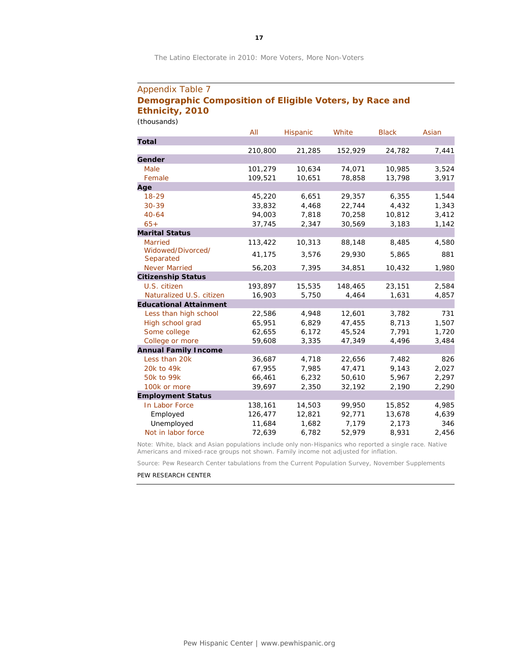#### Appendix Table 7 **Demographic Composition of Eligible Voters, by Race and Ethnicity, 2010** *(thousands)*

|                                | All     | Hispanic | White   | <b>Black</b> | Asian |
|--------------------------------|---------|----------|---------|--------------|-------|
| <b>Total</b>                   |         |          |         |              |       |
|                                | 210,800 | 21,285   | 152,929 | 24,782       | 7,441 |
| Gender                         |         |          |         |              |       |
| Male                           | 101,279 | 10,634   | 74,071  | 10,985       | 3,524 |
| Female                         | 109,521 | 10,651   | 78,858  | 13,798       | 3,917 |
| Age                            |         |          |         |              |       |
| $18 - 29$                      | 45,220  | 6,651    | 29,357  | 6,355        | 1,544 |
| 30-39                          | 33,832  | 4,468    | 22,744  | 4,432        | 1,343 |
| $40 - 64$                      | 94,003  | 7,818    | 70,258  | 10,812       | 3,412 |
| $65+$                          | 37,745  | 2,347    | 30,569  | 3,183        | 1,142 |
| <b>Marital Status</b>          |         |          |         |              |       |
| <b>Married</b>                 | 113,422 | 10,313   | 88,148  | 8,485        | 4,580 |
| Widowed/Divorced/<br>Separated | 41,175  | 3,576    | 29,930  | 5,865        | 881   |
| <b>Never Married</b>           | 56,203  | 7,395    | 34,851  | 10,432       | 1,980 |
| <b>Citizenship Status</b>      |         |          |         |              |       |
| U.S. citizen                   | 193,897 | 15,535   | 148,465 | 23,151       | 2,584 |
| Naturalized U.S. citizen       | 16,903  | 5,750    | 4,464   | 1,631        | 4,857 |
| <b>Educational Attainment</b>  |         |          |         |              |       |
| Less than high school          | 22,586  | 4,948    | 12,601  | 3,782        | 731   |
| High school grad               | 65,951  | 6,829    | 47,455  | 8,713        | 1,507 |
| Some college                   | 62,655  | 6,172    | 45,524  | 7,791        | 1,720 |
| College or more                | 59,608  | 3,335    | 47,349  | 4,496        | 3,484 |
| <b>Annual Family Income</b>    |         |          |         |              |       |
| Less than 20k                  | 36,687  | 4,718    | 22,656  | 7,482        | 826   |
| 20k to 49k                     | 67,955  | 7,985    | 47,471  | 9,143        | 2,027 |
| 50k to 99k                     | 66,461  | 6,232    | 50,610  | 5,967        | 2,297 |
| 100k or more                   | 39,697  | 2,350    | 32,192  | 2,190        | 2,290 |
| <b>Employment Status</b>       |         |          |         |              |       |
| In Labor Force                 | 138,161 | 14,503   | 99,950  | 15,852       | 4,985 |
| Employed                       | 126,477 | 12,821   | 92,771  | 13,678       | 4,639 |
| Unemployed                     | 11,684  | 1,682    | 7,179   | 2,173        | 346   |
| Not in labor force             | 72,639  | 6,782    | 52,979  | 8,931        | 2,456 |

Note: White, black and Asian populations include only non-Hispanics who reported a single race. Native Americans and mixed-race groups not shown. Family income not adjusted for inflation.

Source: Pew Research Center tabulations from the Current Population Survey, November Supplements